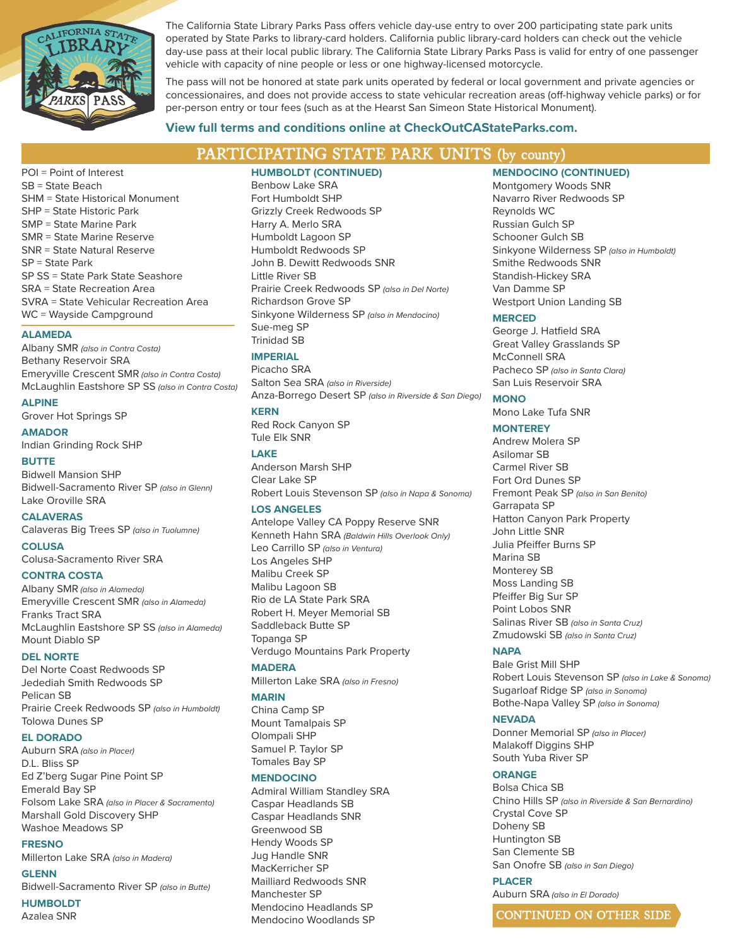

The California State Library Parks Pass offers vehicle day-use entry to over 200 participating state park units operated by State Parks to library-card holders. California public library-card holders can check out the vehicle day-use pass at their local public library. The California State Library Parks Pass is valid for entry of one passenger vehicle with capacity of nine people or less or one highway-licensed motorcycle.

The pass will not be honored at state park units operated by federal or local government and private agencies or concessionaires, and does not provide access to state vehicular recreation areas (off-highway vehicle parks) or for per-person entry or tour fees (such as at the Hearst San Simeon State Historical Monument).

# **View full terms and conditions online at CheckOutCAStateParks.com.**

# PARTICIPATING STATE PARK UNITS (by county)

POI = Point of Interest SB = State Beach SHM = State Historical Monument SHP = State Historic Park SMP = State Marine Park SMR = State Marine Reserve SNR = State Natural Reserve SP = State Park SP SS = State Park State Seashore SRA = State Recreation Area SVRA = State Vehicular Recreation Area WC = Wayside Campground

# **ALAMEDA**

Albany SMR *(also in Contra Costa)* Bethany Reservoir SRA Emeryville Crescent SMR *(also in Contra Costa)*  McLaughlin Eastshore SP SS *(also in Contra Costa)*

## **ALPINE**

Grover Hot Springs SP

**AMADOR** Indian Grinding Rock SHP

# **BUTTE**

Bidwell Mansion SHP Bidwell-Sacramento River SP *(also in Glenn)* Lake Oroville SRA

## **CALAVERAS**

Calaveras Big Trees SP *(also in Tuolumne)*

**COLUSA** Colusa-Sacramento River SRA

## **CONTRA COSTA**

Albany SMR *(also in Alameda)* Emeryville Crescent SMR *(also in Alameda)* Franks Tract SRA McLaughlin Eastshore SP SS *(also in Alameda)* Mount Diablo SP

## **DEL NORTE**

Del Norte Coast Redwoods SP Jedediah Smith Redwoods SP Pelican SB Prairie Creek Redwoods SP *(also in Humboldt)* Tolowa Dunes SP

## **EL DORADO**

Auburn SRA *(also in Placer)* D.L. Bliss SP Ed Z'berg Sugar Pine Point SP Emerald Bay SP Folsom Lake SRA *(also in Placer & Sacramento)* Marshall Gold Discovery SHP Washoe Meadows SP

## **FRESNO**

Millerton Lake SRA *(also in Madera)*

**GLENN** Bidwell-Sacramento River SP *(also in Butte)*

**HUMBOLDT** Azalea SNR

# **HUMBOLDT (CONTINUED)**

Benbow Lake SRA Fort Humboldt SHP Grizzly Creek Redwoods SP Harry A. Merlo SRA Humboldt Lagoon SP Humboldt Redwoods SP John B. Dewitt Redwoods SNR Little River SB Prairie Creek Redwoods SP *(also in Del Norte)* Richardson Grove SP Sinkyone Wilderness SP *(also in Mendocino)* Sue-meg SP Trinidad SB

# **IMPERIAL**

Picacho SRA Salton Sea SRA *(also in Riverside)* Anza-Borrego Desert SP *(also in Riverside & San Diego)*

## **KERN**

Red Rock Canyon SP Tule Elk SNR

## **LAKE**

Anderson Marsh SHP Clear Lake SP Robert Louis Stevenson SP *(also in Napa & Sonoma)*

## **LOS ANGELES**

Antelope Valley CA Poppy Reserve SNR Kenneth Hahn SRA *(Baldwin Hills Overlook Only)* Leo Carrillo SP *(also in Ventura)* Los Angeles SHP Malibu Creek SP Malibu Lagoon SB Rio de LA State Park SRA Robert H. Meyer Memorial SB Saddleback Butte SP Topanga SP Verdugo Mountains Park Property

## **MADERA**

Millerton Lake SRA *(also in Fresno)*

# **MARIN**

China Camp SP Mount Tamalpais SP Olompali SHP Samuel P. Taylor SP Tomales Bay SP

## **MENDOCINO**

Admiral William Standley SRA Caspar Headlands SB Caspar Headlands SNR Greenwood SB Hendy Woods SP Jug Handle SNR MacKerricher SP Mailliard Redwoods SNR Manchester SP Mendocino Headlands SP Mendocino Woodlands SP

## **MENDOCINO (CONTINUED)**

Montgomery Woods SNR Navarro River Redwoods SP Reynolds WC Russian Gulch SP Schooner Gulch SB Sinkyone Wilderness SP *(also in Humboldt)* Smithe Redwoods SNR Standish-Hickey SRA Van Damme SP Westport Union Landing SB

## **MERCED**

George J. Hatfield SRA Great Valley Grasslands SP McConnell SRA Pacheco SP *(also in Santa Clara)* San Luis Reservoir SRA

# **MONO**

Mono Lake Tufa SNR

# **MONTEREY**

Andrew Molera SP Asilomar SB Carmel River SB Fort Ord Dunes SP Fremont Peak SP *(also in San Benito)* Garrapata SP Hatton Canyon Park Property John Little SNR Julia Pfeiffer Burns SP Marina SB Monterey SB Moss Landing SB Pfeiffer Big Sur SP Point Lobos SNR Salinas River SB *(also in Santa Cruz)* Zmudowski SB *(also in Santa Cruz)*

# **NAPA**

Bale Grist Mill SHP Robert Louis Stevenson SP *(also in Lake & Sonoma)* Sugarloaf Ridge SP *(also in Sonoma)* Bothe-Napa Valley SP *(also in Sonoma)*

## **NEVADA**

Donner Memorial SP *(also in Placer)* Malakoff Diggins SHP South Yuba River SP

# **ORANGE**

Bolsa Chica SB Chino Hills SP *(also in Riverside & San Bernardino)* Crystal Cove SP Doheny SB Huntington SB San Clemente SB San Onofre SB *(also in San Diego)*

# **PLACER**

Auburn SRA *(also in El Dorado)*

CONTINUED ON OTHER SIDE